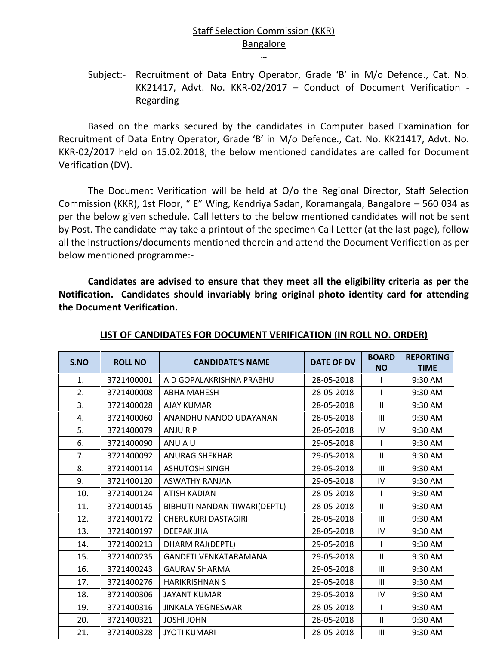## Staff Selection Commission (KKR) Bangalore

Subject:- Recruitment of Data Entry Operator, Grade 'B' in M/o Defence., Cat. No. KK21417, Advt. No. KKR-02/2017 – Conduct of Document Verification - Regarding

**…**

Based on the marks secured by the candidates in Computer based Examination for Recruitment of Data Entry Operator, Grade 'B' in M/o Defence., Cat. No. KK21417, Advt. No. KKR-02/2017 held on 15.02.2018, the below mentioned candidates are called for Document Verification (DV).

The Document Verification will be held at O/o the Regional Director, Staff Selection Commission (KKR), 1st Floor, " E" Wing, Kendriya Sadan, Koramangala, Bangalore – 560 034 as per the below given schedule. Call letters to the below mentioned candidates will not be sent by Post. The candidate may take a printout of the specimen Call Letter (at the last page), follow all the instructions/documents mentioned therein and attend the Document Verification as per below mentioned programme:-

**Candidates are advised to ensure that they meet all the eligibility criteria as per the Notification. Candidates should invariably bring original photo identity card for attending the Document Verification.**

| S.NO | <b>ROLL NO</b> | <b>CANDIDATE'S NAME</b>      | <b>DATE OF DV</b> | <b>BOARD</b> | <b>REPORTING</b> |
|------|----------------|------------------------------|-------------------|--------------|------------------|
|      |                |                              |                   | <b>NO</b>    | <b>TIME</b>      |
| 1.   | 3721400001     | A D GOPALAKRISHNA PRABHU     | 28-05-2018        |              | 9:30 AM          |
| 2.   | 3721400008     | <b>ABHA MAHESH</b>           | 28-05-2018        |              | 9:30 AM          |
| 3.   | 3721400028     | <b>AJAY KUMAR</b>            | 28-05-2018        | $\mathbf{H}$ | 9:30 AM          |
| 4.   | 3721400060     | ANANDHU NANOO UDAYANAN       | 28-05-2018        | Ш            | 9:30 AM          |
| 5.   | 3721400079     | ANJURP                       | 28-05-2018        | IV           | 9:30 AM          |
| 6.   | 3721400090     | ANU A U                      | 29-05-2018        |              | 9:30 AM          |
| 7.   | 3721400092     | <b>ANURAG SHEKHAR</b>        | 29-05-2018        | $\mathbf{H}$ | 9:30 AM          |
| 8.   | 3721400114     | <b>ASHUTOSH SINGH</b>        | 29-05-2018        | Ш            | 9:30 AM          |
| 9.   | 3721400120     | <b>ASWATHY RANJAN</b>        | 29-05-2018        | IV           | 9:30 AM          |
| 10.  | 3721400124     | <b>ATISH KADIAN</b>          | 28-05-2018        |              | 9:30 AM          |
| 11.  | 3721400145     | BIBHUTI NANDAN TIWARI(DEPTL) | 28-05-2018        | $\mathbf{H}$ | 9:30 AM          |
| 12.  | 3721400172     | <b>CHERUKURI DASTAGIRI</b>   | 28-05-2018        | III          | 9:30 AM          |
| 13.  | 3721400197     | <b>DEEPAK JHA</b>            | 28-05-2018        | IV           | 9:30 AM          |
| 14.  | 3721400213     | DHARM RAJ(DEPTL)             | 29-05-2018        |              | 9:30 AM          |
| 15.  | 3721400235     | <b>GANDETI VENKATARAMANA</b> | 29-05-2018        | $\mathbf{H}$ | 9:30 AM          |
| 16.  | 3721400243     | <b>GAURAV SHARMA</b>         | 29-05-2018        | Ш            | 9:30 AM          |
| 17.  | 3721400276     | <b>HARIKRISHNAN S</b>        | 29-05-2018        | Ш            | 9:30 AM          |
| 18.  | 3721400306     | <b>JAYANT KUMAR</b>          | 29-05-2018        | IV           | 9:30 AM          |
| 19.  | 3721400316     | <b>JINKALA YEGNESWAR</b>     | 28-05-2018        |              | 9:30 AM          |
| 20.  | 3721400321     | JOSHI JOHN                   | 28-05-2018        | $\mathbf{H}$ | 9:30 AM          |
| 21.  | 3721400328     | <b>JYOTI KUMARI</b>          | 28-05-2018        | III          | 9:30 AM          |

## **LIST OF CANDIDATES FOR DOCUMENT VERIFICATION (IN ROLL NO. ORDER)**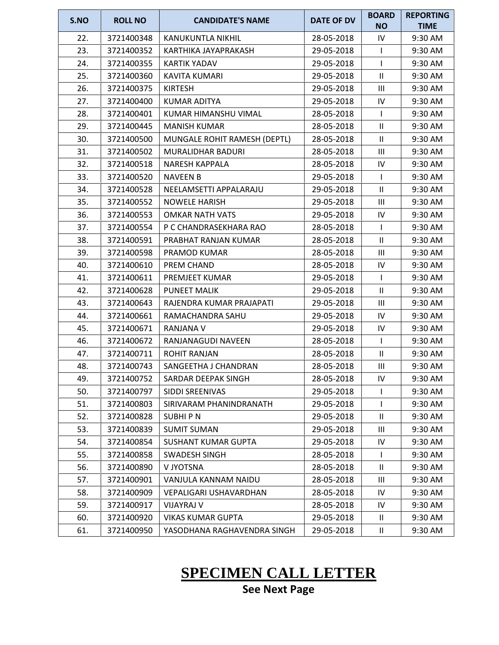| S.NO | <b>ROLL NO</b> | <b>CANDIDATE'S NAME</b>      | DATE OF DV | <b>BOARD</b>   | <b>REPORTING</b> |
|------|----------------|------------------------------|------------|----------------|------------------|
|      |                |                              |            | <b>NO</b>      | <b>TIME</b>      |
| 22.  | 3721400348     | KANUKUNTLA NIKHIL            | 28-05-2018 | IV             | 9:30 AM          |
| 23.  | 3721400352     | KARTHIKA JAYAPRAKASH         | 29-05-2018 | $\mathbf{I}$   | 9:30 AM          |
| 24.  | 3721400355     | KARTIK YADAV                 | 29-05-2018 |                | 9:30 AM          |
| 25.  | 3721400360     | <b>KAVITA KUMARI</b>         | 29-05-2018 | $\mathbf{II}$  | 9:30 AM          |
| 26.  | 3721400375     | <b>KIRTESH</b>               | 29-05-2018 | III            | 9:30 AM          |
| 27.  | 3721400400     | <b>KUMAR ADITYA</b>          | 29-05-2018 | IV             | 9:30 AM          |
| 28.  | 3721400401     | KUMAR HIMANSHU VIMAL         | 28-05-2018 |                | 9:30 AM          |
| 29.  | 3721400445     | <b>MANISH KUMAR</b>          | 28-05-2018 | $\mathbf{II}$  | 9:30 AM          |
| 30.  | 3721400500     | MUNGALE ROHIT RAMESH (DEPTL) | 28-05-2018 | $\mathbf{II}$  | 9:30 AM          |
| 31.  | 3721400502     | MURALIDHAR BADURI            | 28-05-2018 | Ш              | 9:30 AM          |
| 32.  | 3721400518     | <b>NARESH KAPPALA</b>        | 28-05-2018 | IV             | 9:30 AM          |
| 33.  | 3721400520     | <b>NAVEEN B</b>              | 29-05-2018 |                | 9:30 AM          |
| 34.  | 3721400528     | NEELAMSETTI APPALARAJU       | 29-05-2018 | $\mathbf{II}$  | 9:30 AM          |
| 35.  | 3721400552     | <b>NOWELE HARISH</b>         | 29-05-2018 | III            | 9:30 AM          |
| 36.  | 3721400553     | <b>OMKAR NATH VATS</b>       | 29-05-2018 | IV             | 9:30 AM          |
| 37.  | 3721400554     | P C CHANDRASEKHARA RAO       | 28-05-2018 |                | 9:30 AM          |
| 38.  | 3721400591     | PRABHAT RANJAN KUMAR         | 28-05-2018 | $\mathbf{II}$  | 9:30 AM          |
| 39.  | 3721400598     | PRAMOD KUMAR                 | 28-05-2018 | Ш              | 9:30 AM          |
| 40.  | 3721400610     | PREM CHAND                   | 28-05-2018 | IV             | 9:30 AM          |
| 41.  | 3721400611     | PREMJEET KUMAR               | 29-05-2018 |                | 9:30 AM          |
| 42.  | 3721400628     | <b>PUNEET MALIK</b>          | 29-05-2018 | $\mathbf{II}$  | 9:30 AM          |
| 43.  | 3721400643     | RAJENDRA KUMAR PRAJAPATI     | 29-05-2018 | Ш              | 9:30 AM          |
| 44.  | 3721400661     | RAMACHANDRA SAHU             | 29-05-2018 | IV             | 9:30 AM          |
| 45.  | 3721400671     | RANJANA V                    | 29-05-2018 | IV             | 9:30 AM          |
| 46.  | 3721400672     | RANJANAGUDI NAVEEN           | 28-05-2018 |                | 9:30 AM          |
| 47.  | 3721400711     | <b>ROHIT RANJAN</b>          | 28-05-2018 | $\mathbf{II}$  | 9:30 AM          |
| 48.  | 3721400743     | SANGEETHA J CHANDRAN         | 28-05-2018 | Ш              | 9:30 AM          |
| 49.  | 3721400752     | SARDAR DEEPAK SINGH          | 28-05-2018 | IV             | 9:30 AM          |
| 50.  | 3721400797     | SIDDI SREENIVAS              | 29-05-2018 |                | 9:30 AM          |
| 51.  | 3721400803     | SIRIVARAM PHANINDRANATH      | 29-05-2018 |                | 9:30 AM          |
| 52.  | 3721400828     | <b>SUBHIPN</b>               | 29-05-2018 | $\mathbf{II}$  | 9:30 AM          |
| 53.  | 3721400839     | <b>SUMIT SUMAN</b>           | 29-05-2018 | $\mathbf{III}$ | 9:30 AM          |
| 54.  | 3721400854     | <b>SUSHANT KUMAR GUPTA</b>   | 29-05-2018 | IV             | 9:30 AM          |
| 55.  | 3721400858     | SWADESH SINGH                | 28-05-2018 |                | 9:30 AM          |
| 56.  | 3721400890     | V JYOTSNA                    | 28-05-2018 | $\mathbf{II}$  | 9:30 AM          |
| 57.  | 3721400901     | VANJULA KANNAM NAIDU         | 28-05-2018 | Ш              | 9:30 AM          |
| 58.  | 3721400909     | VEPALIGARI USHAVARDHAN       | 28-05-2018 | IV             | 9:30 AM          |
| 59.  | 3721400917     | <b>VIJAYRAJ V</b>            | 28-05-2018 | IV             | 9:30 AM          |
| 60.  | 3721400920     | <b>VIKAS KUMAR GUPTA</b>     | 29-05-2018 | Ш.             | 9:30 AM          |
| 61.  | 3721400950     | YASODHANA RAGHAVENDRA SINGH  | 29-05-2018 | $\mathbf{II}$  | 9:30 AM          |

## **SPECIMEN CALL LETTER**

**See Next Page**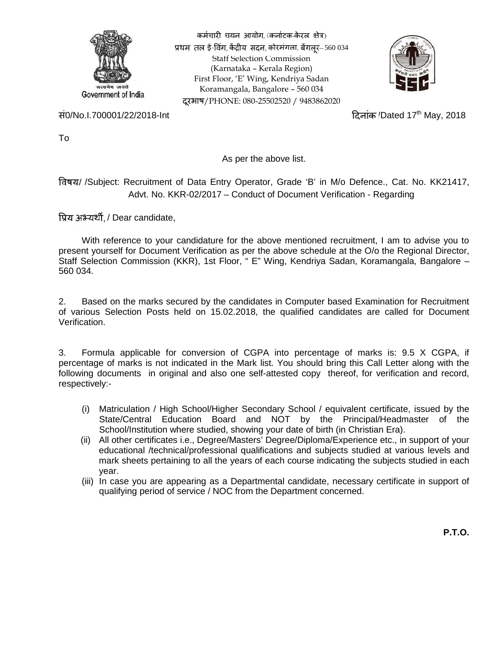

कर्मचारी चयन आयोग, (कर्नाटक-केरल क्षेत्र) प्रथम तल ई-विंग, केंद्रीय सदन, कोरमंगला, बेंगलर- 560 034 Staff Selection Commission (Karnataka – Kerala Region) First Floor, 'E' Wing, Kendriya Sadan Koramangala, Bangalore – 560 034 दूरभाष/PHONE: 080-25502520 / 9483862020



सं0/No.I.700001/22/2018-Int 2010 कर कार्यक्रम कर विलांक /Dated 17th May, 2018

To

As per the above list.

/ /Subject: Recruitment of Data Entry Operator, Grade 'B' in M/o Defence., Cat. No. KK21417, Advt. No. KKR-02/2017 – Conduct of Document Verification - Regarding

प्रिय अभ्यर्थी, / Dear candidate,

With reference to your candidature for the above mentioned recruitment, I am to advise you to present yourself for Document Verification as per the above schedule at the O/o the Regional Director, Staff Selection Commission (KKR), 1st Floor, " E" Wing, Kendriya Sadan, Koramangala, Bangalore – 560 034.

2. Based on the marks secured by the candidates in Computer based Examination for Recruitment of various Selection Posts held on 15.02.2018, the qualified candidates are called for Document Verification.

3. Formula applicable for conversion of CGPA into percentage of marks is: 9.5 X CGPA, if percentage of marks is not indicated in the Mark list. You should bring this Call Letter along with the following documents in original and also one self-attested copy thereof, for verification and record, respectively:-

- (i) Matriculation / High School/Higher Secondary School / equivalent certificate, issued by the State/Central Education Board and NOT by the Principal/Headmaster of the School/Institution where studied, showing your date of birth (in Christian Era).
- (ii) All other certificates i.e., Degree/Masters' Degree/Diploma/Experience etc., in support of your educational /technical/professional qualifications and subjects studied at various levels and mark sheets pertaining to all the years of each course indicating the subjects studied in each year.
- (iii) In case you are appearing as a Departmental candidate, necessary certificate in support of qualifying period of service / NOC from the Department concerned.

**P.T.O.**